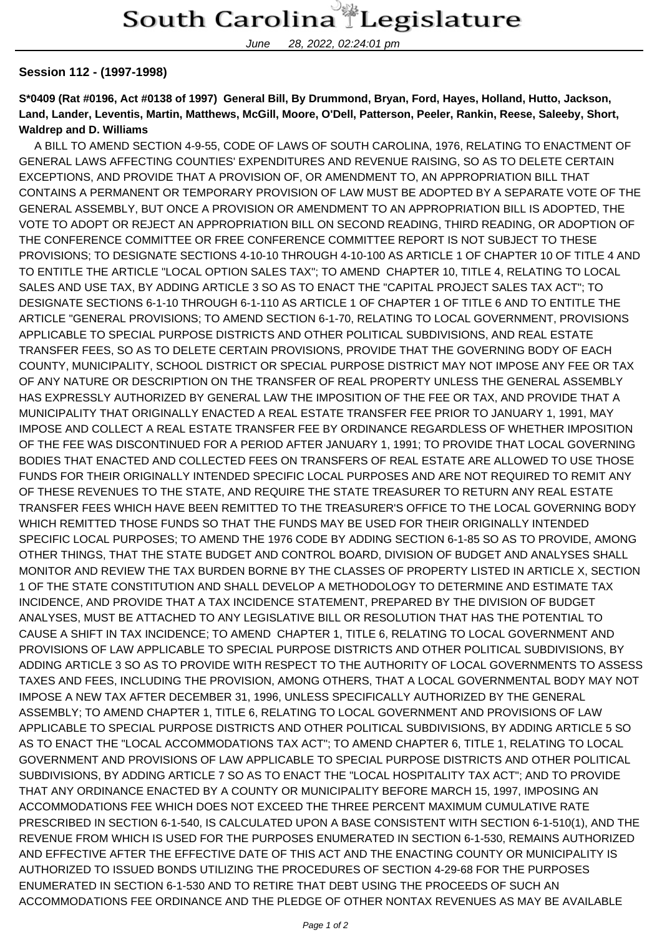June 28, 2022, 02:24:01 pm

## **Session 112 - (1997-1998)**

**S\*0409 (Rat #0196, Act #0138 of 1997) General Bill, By Drummond, Bryan, Ford, Hayes, Holland, Hutto, Jackson, Land, Lander, Leventis, Martin, Matthews, McGill, Moore, O'Dell, Patterson, Peeler, Rankin, Reese, Saleeby, Short, Waldrep and D. Williams**

 A BILL TO AMEND SECTION 4-9-55, CODE OF LAWS OF SOUTH CAROLINA, 1976, RELATING TO ENACTMENT OF GENERAL LAWS AFFECTING COUNTIES' EXPENDITURES AND REVENUE RAISING, SO AS TO DELETE CERTAIN EXCEPTIONS, AND PROVIDE THAT A PROVISION OF, OR AMENDMENT TO, AN APPROPRIATION BILL THAT CONTAINS A PERMANENT OR TEMPORARY PROVISION OF LAW MUST BE ADOPTED BY A SEPARATE VOTE OF THE GENERAL ASSEMBLY, BUT ONCE A PROVISION OR AMENDMENT TO AN APPROPRIATION BILL IS ADOPTED, THE VOTE TO ADOPT OR REJECT AN APPROPRIATION BILL ON SECOND READING, THIRD READING, OR ADOPTION OF THE CONFERENCE COMMITTEE OR FREE CONFERENCE COMMITTEE REPORT IS NOT SUBJECT TO THESE PROVISIONS; TO DESIGNATE SECTIONS 4-10-10 THROUGH 4-10-100 AS ARTICLE 1 OF CHAPTER 10 OF TITLE 4 AND TO ENTITLE THE ARTICLE "LOCAL OPTION SALES TAX"; TO AMEND CHAPTER 10, TITLE 4, RELATING TO LOCAL SALES AND USE TAX, BY ADDING ARTICLE 3 SO AS TO ENACT THE "CAPITAL PROJECT SALES TAX ACT"; TO DESIGNATE SECTIONS 6-1-10 THROUGH 6-1-110 AS ARTICLE 1 OF CHAPTER 1 OF TITLE 6 AND TO ENTITLE THE ARTICLE "GENERAL PROVISIONS; TO AMEND SECTION 6-1-70, RELATING TO LOCAL GOVERNMENT, PROVISIONS APPLICABLE TO SPECIAL PURPOSE DISTRICTS AND OTHER POLITICAL SUBDIVISIONS, AND REAL ESTATE TRANSFER FEES, SO AS TO DELETE CERTAIN PROVISIONS, PROVIDE THAT THE GOVERNING BODY OF EACH COUNTY, MUNICIPALITY, SCHOOL DISTRICT OR SPECIAL PURPOSE DISTRICT MAY NOT IMPOSE ANY FEE OR TAX OF ANY NATURE OR DESCRIPTION ON THE TRANSFER OF REAL PROPERTY UNLESS THE GENERAL ASSEMBLY HAS EXPRESSLY AUTHORIZED BY GENERAL LAW THE IMPOSITION OF THE FEE OR TAX, AND PROVIDE THAT A MUNICIPALITY THAT ORIGINALLY ENACTED A REAL ESTATE TRANSFER FEE PRIOR TO JANUARY 1, 1991, MAY IMPOSE AND COLLECT A REAL ESTATE TRANSFER FEE BY ORDINANCE REGARDLESS OF WHETHER IMPOSITION OF THE FEE WAS DISCONTINUED FOR A PERIOD AFTER JANUARY 1, 1991; TO PROVIDE THAT LOCAL GOVERNING BODIES THAT ENACTED AND COLLECTED FEES ON TRANSFERS OF REAL ESTATE ARE ALLOWED TO USE THOSE FUNDS FOR THEIR ORIGINALLY INTENDED SPECIFIC LOCAL PURPOSES AND ARE NOT REQUIRED TO REMIT ANY OF THESE REVENUES TO THE STATE, AND REQUIRE THE STATE TREASURER TO RETURN ANY REAL ESTATE TRANSFER FEES WHICH HAVE BEEN REMITTED TO THE TREASURER'S OFFICE TO THE LOCAL GOVERNING BODY WHICH REMITTED THOSE FUNDS SO THAT THE FUNDS MAY BE USED FOR THEIR ORIGINALLY INTENDED SPECIFIC LOCAL PURPOSES; TO AMEND THE 1976 CODE BY ADDING SECTION 6-1-85 SO AS TO PROVIDE, AMONG OTHER THINGS, THAT THE STATE BUDGET AND CONTROL BOARD, DIVISION OF BUDGET AND ANALYSES SHALL MONITOR AND REVIEW THE TAX BURDEN BORNE BY THE CLASSES OF PROPERTY LISTED IN ARTICLE X, SECTION 1 OF THE STATE CONSTITUTION AND SHALL DEVELOP A METHODOLOGY TO DETERMINE AND ESTIMATE TAX INCIDENCE, AND PROVIDE THAT A TAX INCIDENCE STATEMENT, PREPARED BY THE DIVISION OF BUDGET ANALYSES, MUST BE ATTACHED TO ANY LEGISLATIVE BILL OR RESOLUTION THAT HAS THE POTENTIAL TO CAUSE A SHIFT IN TAX INCIDENCE; TO AMEND CHAPTER 1, TITLE 6, RELATING TO LOCAL GOVERNMENT AND PROVISIONS OF LAW APPLICABLE TO SPECIAL PURPOSE DISTRICTS AND OTHER POLITICAL SUBDIVISIONS, BY ADDING ARTICLE 3 SO AS TO PROVIDE WITH RESPECT TO THE AUTHORITY OF LOCAL GOVERNMENTS TO ASSESS TAXES AND FEES, INCLUDING THE PROVISION, AMONG OTHERS, THAT A LOCAL GOVERNMENTAL BODY MAY NOT IMPOSE A NEW TAX AFTER DECEMBER 31, 1996, UNLESS SPECIFICALLY AUTHORIZED BY THE GENERAL ASSEMBLY; TO AMEND CHAPTER 1, TITLE 6, RELATING TO LOCAL GOVERNMENT AND PROVISIONS OF LAW APPLICABLE TO SPECIAL PURPOSE DISTRICTS AND OTHER POLITICAL SUBDIVISIONS, BY ADDING ARTICLE 5 SO AS TO ENACT THE "LOCAL ACCOMMODATIONS TAX ACT"; TO AMEND CHAPTER 6, TITLE 1, RELATING TO LOCAL GOVERNMENT AND PROVISIONS OF LAW APPLICABLE TO SPECIAL PURPOSE DISTRICTS AND OTHER POLITICAL SUBDIVISIONS, BY ADDING ARTICLE 7 SO AS TO ENACT THE "LOCAL HOSPITALITY TAX ACT"; AND TO PROVIDE THAT ANY ORDINANCE ENACTED BY A COUNTY OR MUNICIPALITY BEFORE MARCH 15, 1997, IMPOSING AN ACCOMMODATIONS FEE WHICH DOES NOT EXCEED THE THREE PERCENT MAXIMUM CUMULATIVE RATE PRESCRIBED IN SECTION 6-1-540, IS CALCULATED UPON A BASE CONSISTENT WITH SECTION 6-1-510(1), AND THE REVENUE FROM WHICH IS USED FOR THE PURPOSES ENUMERATED IN SECTION 6-1-530, REMAINS AUTHORIZED AND EFFECTIVE AFTER THE EFFECTIVE DATE OF THIS ACT AND THE ENACTING COUNTY OR MUNICIPALITY IS AUTHORIZED TO ISSUED BONDS UTILIZING THE PROCEDURES OF SECTION 4-29-68 FOR THE PURPOSES ENUMERATED IN SECTION 6-1-530 AND TO RETIRE THAT DEBT USING THE PROCEEDS OF SUCH AN ACCOMMODATIONS FEE ORDINANCE AND THE PLEDGE OF OTHER NONTAX REVENUES AS MAY BE AVAILABLE